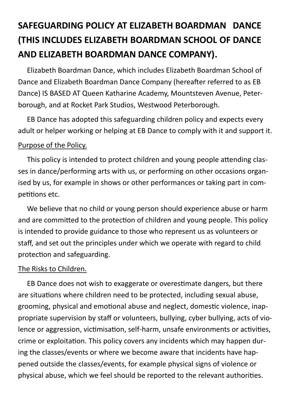# **SAFEGUARDING POLICY AT ELIZABETH BOARDMAN DANCE (THIS INCLUDES ELIZABETH BOARDMAN SCHOOL OF DANCE AND ELIZABETH BOARDMAN DANCE COMPANY).**

 Elizabeth Boardman Dance, which includes Elizabeth Boardman School of Dance and Elizabeth Boardman Dance Company (hereafter referred to as EB Dance) IS BASED AT Queen Katharine Academy, Mountsteven Avenue, Peterborough, and at Rocket Park Studios, Westwood Peterborough.

 EB Dance has adopted this safeguarding children policy and expects every adult or helper working or helping at EB Dance to comply with it and support it. Purpose of the Policy.

 This policy is intended to protect children and young people attending classes in dance/performing arts with us, or performing on other occasions organised by us, for example in shows or other performances or taking part in competitions etc.

 We believe that no child or young person should experience abuse or harm and are committed to the protection of children and young people. This policy is intended to provide guidance to those who represent us as volunteers or staff, and set out the principles under which we operate with regard to child protection and safeguarding.

## The Risks to Children.

 EB Dance does not wish to exaggerate or overestimate dangers, but there are situations where children need to be protected, including sexual abuse, grooming, physical and emotional abuse and neglect, domestic violence, inappropriate supervision by staff or volunteers, bullying, cyber bullying, acts of violence or aggression, victimisation, self-harm, unsafe environments or activities, crime or exploitation. This policy covers any incidents which may happen during the classes/events or where we become aware that incidents have happened outside the classes/events, for example physical signs of violence or physical abuse, which we feel should be reported to the relevant authorities.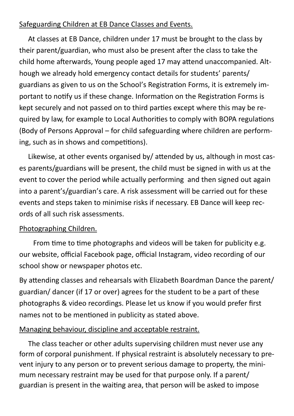## Safeguarding Children at EB Dance Classes and Events.

 At classes at EB Dance, children under 17 must be brought to the class by their parent/guardian, who must also be present after the class to take the child home afterwards, Young people aged 17 may attend unaccompanied. Although we already hold emergency contact details for students' parents/ guardians as given to us on the School's Registration Forms, it is extremely important to notify us if these change. Information on the Registration Forms is kept securely and not passed on to third parties except where this may be required by law, for example to Local Authorities to comply with BOPA regulations (Body of Persons Approval – for child safeguarding where children are performing, such as in shows and competitions).

 Likewise, at other events organised by/ attended by us, although in most cases parents/guardians will be present, the child must be signed in with us at the event to cover the period while actually performing and then signed out again into a parent's/guardian's care. A risk assessment will be carried out for these events and steps taken to minimise risks if necessary. EB Dance will keep records of all such risk assessments.

## Photographing Children.

From time to time photographs and videos will be taken for publicity e.g. our website, official Facebook page, official Instagram, video recording of our school show or newspaper photos etc.

By attending classes and rehearsals with Elizabeth Boardman Dance the parent/ guardian/ dancer (if 17 or over) agrees for the student to be a part of these photographs & video recordings. Please let us know if you would prefer first names not to be mentioned in publicity as stated above.

# Managing behaviour, discipline and acceptable restraint.

 The class teacher or other adults supervising children must never use any form of corporal punishment. If physical restraint is absolutely necessary to prevent injury to any person or to prevent serious damage to property, the minimum necessary restraint may be used for that purpose only. If a parent/ guardian is present in the waiting area, that person will be asked to impose